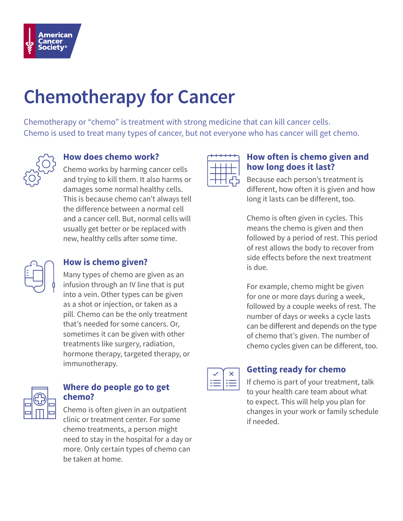

# **Chemotherapy for Cancer**

Chemotherapy or "chemo" is treatment with strong medicine that can kill cancer cells. Chemo is used to treat many types of cancer, but not everyone who has cancer will get chemo.



# **How does chemo work?**

Chemo works by harming cancer cells and trying to kill them. It also harms or damages some normal healthy cells. This is because chemo can't always tell the difference between a normal cell and a cancer cell. But, normal cells will usually get better or be replaced with new, healthy cells after some time.



### **How is chemo given?**

Many types of chemo are given as an infusion through an IV line that is put into a vein. Other types can be given as a shot or injection, or taken as a pill. Chemo can be the only treatment that's needed for some cancers. Or, sometimes it can be given with other treatments like surgery, radiation, hormone therapy, targeted therapy, or immunotherapy.



## **Where do people go to get chemo?**

Chemo is often given in an outpatient clinic or treatment center. For some chemo treatments, a person might need to stay in the hospital for a day or more. Only certain types of chemo can be taken at home.



#### **How often is chemo given and how long does it last?**

Because each person's treatment is different, how often it is given and how long it lasts can be different, too.

Chemo is often given in cycles. This means the chemo is given and then followed by a period of rest. This period of rest allows the body to recover from side effects before the next treatment is due.

For example, chemo might be given for one or more days during a week, followed by a couple weeks of rest. The number of days or weeks a cycle lasts can be different and depends on the type of chemo that's given. The number of chemo cycles given can be different, too.



# **Getting ready for chemo**

If chemo is part of your treatment, talk to your health care team about what to expect. This will help you plan for changes in your work or family schedule if needed.